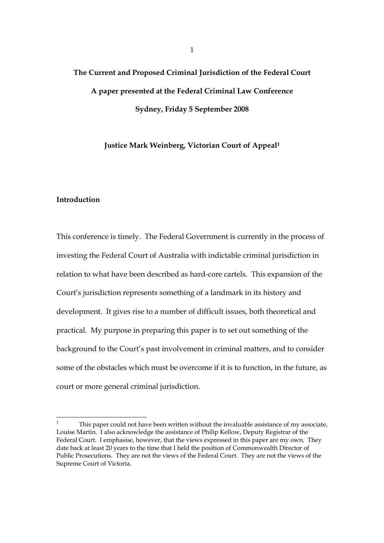# **The Current and Proposed Criminal Jurisdiction of the Federal Court A paper presented at the Federal Criminal Law Conference Sydney, Friday 5 September 2008**

**Justice Mark Weinberg, Victorian Court of Appeal1**

### **Introduction**

This conference is timely. The Federal Government is currently in the process of investing the Federal Court of Australia with indictable criminal jurisdiction in relation to what have been described as hard-core cartels. This expansion of the Court's jurisdiction represents something of a landmark in its history and development. It gives rise to a number of difficult issues, both theoretical and practical. My purpose in preparing this paper is to set out something of the background to the Court's past involvement in criminal matters, and to consider some of the obstacles which must be overcome if it is to function, in the future, as court or more general criminal jurisdiction.

<sup>1</sup> This paper could not have been written without the invaluable assistance of my associate, Louise Martin. I also acknowledge the assistance of Philip Kellow, Deputy Registrar of the Federal Court. I emphasise, however, that the views expressed in this paper are my own. They date back at least 20 years to the time that I held the position of Commonwealth Director of Public Prosecutions. They are not the views of the Federal Court. They are not the views of the Supreme Court of Victoria.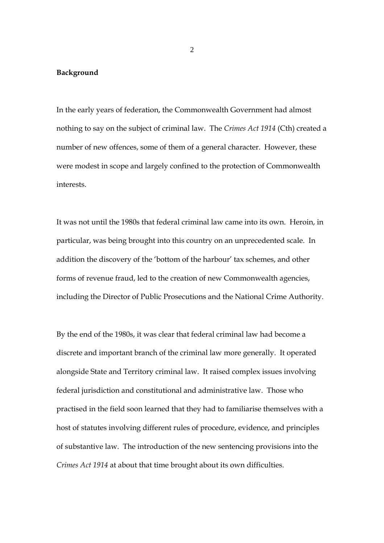## **Background**

In the early years of federation, the Commonwealth Government had almost nothing to say on the subject of criminal law. The *Crimes Act 1914* (Cth) created a number of new offences, some of them of a general character. However, these were modest in scope and largely confined to the protection of Commonwealth interests.

It was not until the 1980s that federal criminal law came into its own. Heroin, in particular, was being brought into this country on an unprecedented scale. In addition the discovery of the 'bottom of the harbour' tax schemes, and other forms of revenue fraud, led to the creation of new Commonwealth agencies, including the Director of Public Prosecutions and the National Crime Authority.

By the end of the 1980s, it was clear that federal criminal law had become a discrete and important branch of the criminal law more generally. It operated alongside State and Territory criminal law. It raised complex issues involving federal jurisdiction and constitutional and administrative law. Those who practised in the field soon learned that they had to familiarise themselves with a host of statutes involving different rules of procedure, evidence, and principles of substantive law. The introduction of the new sentencing provisions into the *Crimes Act 1914* at about that time brought about its own difficulties.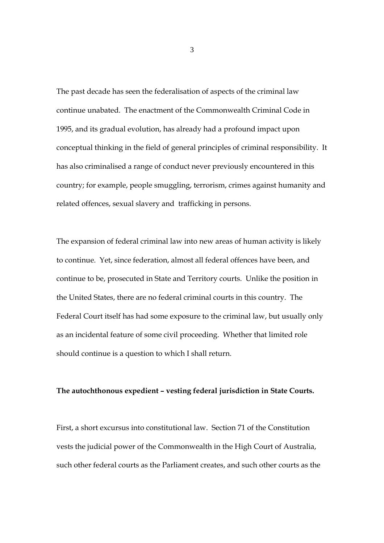The past decade has seen the federalisation of aspects of the criminal law continue unabated. The enactment of the Commonwealth Criminal Code in 1995, and its gradual evolution, has already had a profound impact upon conceptual thinking in the field of general principles of criminal responsibility. It has also criminalised a range of conduct never previously encountered in this country; for example, people smuggling, terrorism, crimes against humanity and related offences, sexual slavery and trafficking in persons.

The expansion of federal criminal law into new areas of human activity is likely to continue. Yet, since federation, almost all federal offences have been, and continue to be, prosecuted in State and Territory courts. Unlike the position in the United States, there are no federal criminal courts in this country. The Federal Court itself has had some exposure to the criminal law, but usually only as an incidental feature of some civil proceeding. Whether that limited role should continue is a question to which I shall return.

## **The autochthonous expedient – vesting federal jurisdiction in State Courts.**

First, a short excursus into constitutional law. Section 71 of the Constitution vests the judicial power of the Commonwealth in the High Court of Australia, such other federal courts as the Parliament creates, and such other courts as the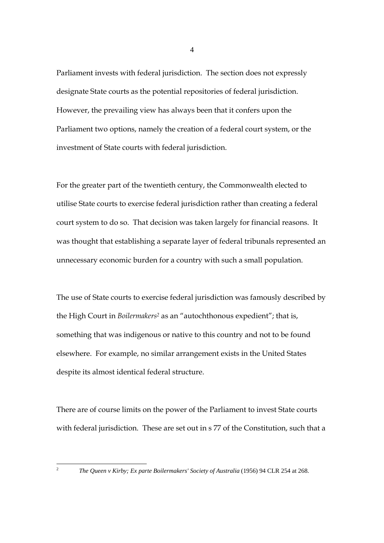Parliament invests with federal jurisdiction. The section does not expressly designate State courts as the potential repositories of federal jurisdiction. However, the prevailing view has always been that it confers upon the Parliament two options, namely the creation of a federal court system, or the investment of State courts with federal jurisdiction.

For the greater part of the twentieth century, the Commonwealth elected to utilise State courts to exercise federal jurisdiction rather than creating a federal court system to do so. That decision was taken largely for financial reasons. It was thought that establishing a separate layer of federal tribunals represented an unnecessary economic burden for a country with such a small population.

The use of State courts to exercise federal jurisdiction was famously described by the High Court in *Boilermakers2* as an "autochthonous expedient"; that is, something that was indigenous or native to this country and not to be found elsewhere. For example, no similar arrangement exists in the United States despite its almost identical federal structure.

There are of course limits on the power of the Parliament to invest State courts with federal jurisdiction. These are set out in s 77 of the Constitution, such that a

 $\frac{1}{2}$ 

*The Queen v Kirby; Ex parte Boilermakers' Society of Australia* (1956) 94 CLR 254 at 268.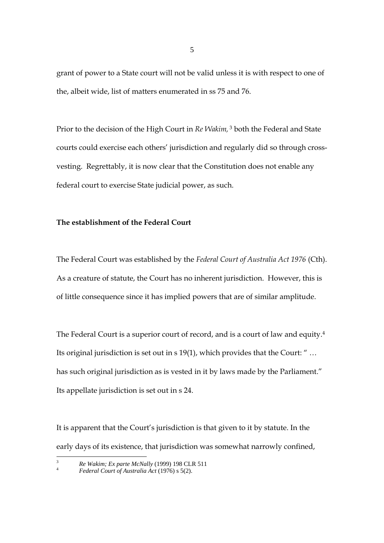grant of power to a State court will not be valid unless it is with respect to one of the, albeit wide, list of matters enumerated in ss 75 and 76.

Prior to the decision of the High Court in *Re Wakim,* 3 both the Federal and State courts could exercise each others' jurisdiction and regularly did so through crossvesting. Regrettably, it is now clear that the Constitution does not enable any federal court to exercise State judicial power, as such.

# **The establishment of the Federal Court**

The Federal Court was established by the *Federal Court of Australia Act 1976* (Cth). As a creature of statute, the Court has no inherent jurisdiction. However, this is of little consequence since it has implied powers that are of similar amplitude.

The Federal Court is a superior court of record, and is a court of law and equity.4 Its original jurisdiction is set out in s 19(1), which provides that the Court: " … has such original jurisdiction as is vested in it by laws made by the Parliament." Its appellate jurisdiction is set out in s 24.

It is apparent that the Court's jurisdiction is that given to it by statute. In the early days of its existence, that jurisdiction was somewhat narrowly confined,

 $\frac{1}{3}$ *Re Wakim; Ex parte McNally* (1999) 198 CLR 511 4

*Federal Court of Australia Act* (1976) s 5(2).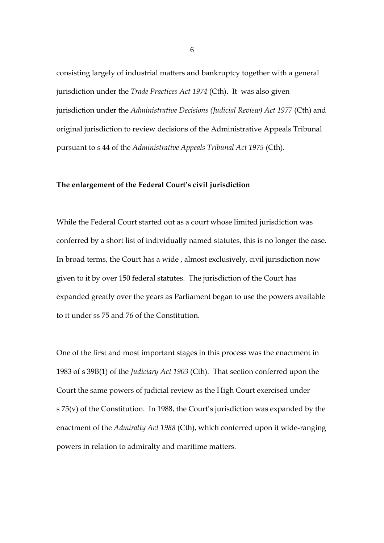consisting largely of industrial matters and bankruptcy together with a general jurisdiction under the *Trade Practices Act 1974* (Cth). It was also given jurisdiction under the *Administrative Decisions (Judicial Review) Act 1977* (Cth) and original jurisdiction to review decisions of the Administrative Appeals Tribunal pursuant to s 44 of the *Administrative Appeals Tribunal Act 1975* (Cth).

## **The enlargement of the Federal Court's civil jurisdiction**

While the Federal Court started out as a court whose limited jurisdiction was conferred by a short list of individually named statutes, this is no longer the case. In broad terms, the Court has a wide , almost exclusively, civil jurisdiction now given to it by over 150 federal statutes. The jurisdiction of the Court has expanded greatly over the years as Parliament began to use the powers available to it under ss 75 and 76 of the Constitution.

One of the first and most important stages in this process was the enactment in 1983 of s 39B(1) of the *Judiciary Act 1903* (Cth)*.* That section conferred upon the Court the same powers of judicial review as the High Court exercised under s 75(v) of the Constitution. In 1988, the Court's jurisdiction was expanded by the enactment of the *Admiralty Act 1988* (Cth), which conferred upon it wide-ranging powers in relation to admiralty and maritime matters.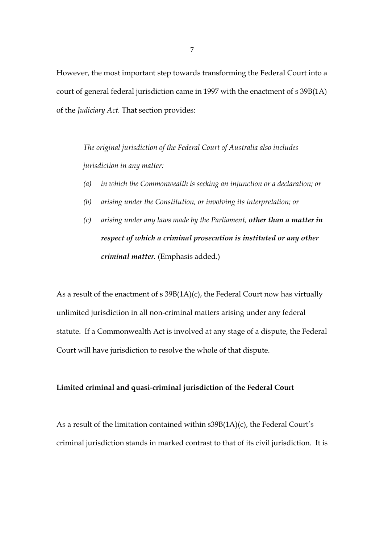However, the most important step towards transforming the Federal Court into a court of general federal jurisdiction came in 1997 with the enactment of s 39B(1A) of the *Judiciary Act.* That section provides:

*The original jurisdiction of the Federal Court of Australia also includes jurisdiction in any matter:* 

- *(a) in which the Commonwealth is seeking an injunction or a declaration; or*
- *(b) arising under the Constitution, or involving its interpretation; or*
- *(c) arising under any laws made by the Parliament, other than a matter in respect of which a criminal prosecution is instituted or any other criminal matter.* (Emphasis added.)

As a result of the enactment of s 39B(1A)(c), the Federal Court now has virtually unlimited jurisdiction in all non-criminal matters arising under any federal statute. If a Commonwealth Act is involved at any stage of a dispute, the Federal Court will have jurisdiction to resolve the whole of that dispute.

## **Limited criminal and quasi-criminal jurisdiction of the Federal Court**

As a result of the limitation contained within s39B(1A)(c), the Federal Court's criminal jurisdiction stands in marked contrast to that of its civil jurisdiction. It is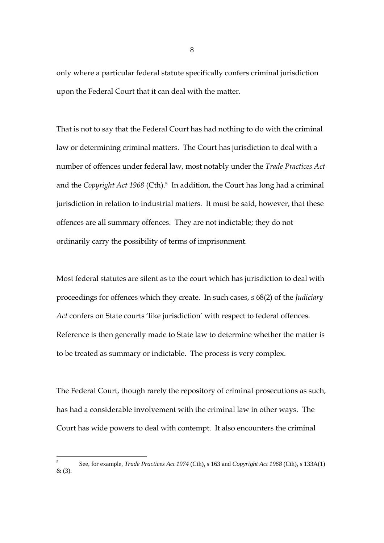only where a particular federal statute specifically confers criminal jurisdiction upon the Federal Court that it can deal with the matter.

That is not to say that the Federal Court has had nothing to do with the criminal law or determining criminal matters. The Court has jurisdiction to deal with a number of offences under federal law, most notably under the *Trade Practices Act* and the *Copyright Act 1968* (Cth).<sup>5</sup> In addition, the Court has long had a criminal jurisdiction in relation to industrial matters. It must be said, however, that these offences are all summary offences. They are not indictable; they do not ordinarily carry the possibility of terms of imprisonment.

Most federal statutes are silent as to the court which has jurisdiction to deal with proceedings for offences which they create. In such cases, s 68(2) of the *Judiciary Act* confers on State courts 'like jurisdiction' with respect to federal offences. Reference is then generally made to State law to determine whether the matter is to be treated as summary or indictable. The process is very complex.

The Federal Court, though rarely the repository of criminal prosecutions as such, has had a considerable involvement with the criminal law in other ways. The Court has wide powers to deal with contempt. It also encounters the criminal

<sup>5</sup> See, for example, *Trade Practices Act 1974* (Cth), s 163 and *Copyright Act 1968* (Cth), s 133A(1)  $& (3)$ .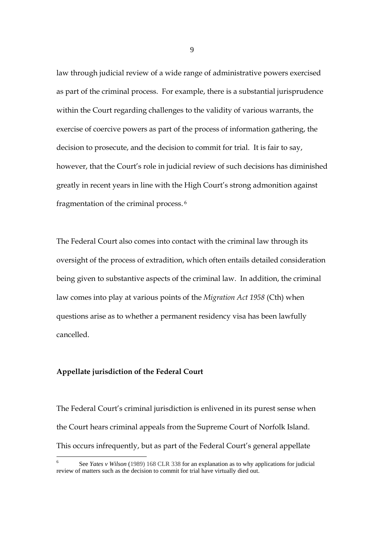law through judicial review of a wide range of administrative powers exercised as part of the criminal process. For example, there is a substantial jurisprudence within the Court regarding challenges to the validity of various warrants, the exercise of coercive powers as part of the process of information gathering, the decision to prosecute, and the decision to commit for trial. It is fair to say, however, that the Court's role in judicial review of such decisions has diminished greatly in recent years in line with the High Court's strong admonition against fragmentation of the criminal process. 6

The Federal Court also comes into contact with the criminal law through its oversight of the process of extradition, which often entails detailed consideration being given to substantive aspects of the criminal law. In addition, the criminal law comes into play at various points of the *Migration Act 1958* (Cth) when questions arise as to whether a permanent residency visa has been lawfully cancelled.

#### **Appellate jurisdiction of the Federal Court**

The Federal Court's criminal jurisdiction is enlivened in its purest sense when the Court hears criminal appeals from the Supreme Court of Norfolk Island. This occurs infrequently, but as part of the Federal Court's general appellate

<sup>6</sup> See *Yates v Wilson* (1989) 168 CLR 338 for an explanation as to why applications for judicial review of matters such as the decision to commit for trial have virtually died out.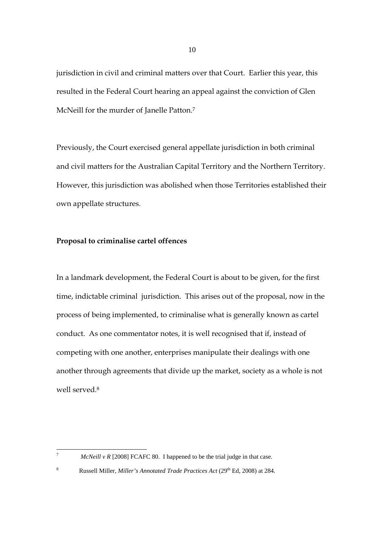jurisdiction in civil and criminal matters over that Court. Earlier this year, this resulted in the Federal Court hearing an appeal against the conviction of Glen McNeill for the murder of Janelle Patton.<sup>7</sup>

Previously, the Court exercised general appellate jurisdiction in both criminal and civil matters for the Australian Capital Territory and the Northern Territory. However, this jurisdiction was abolished when those Territories established their own appellate structures*.*

# **Proposal to criminalise cartel offences**

-<br>7

In a landmark development, the Federal Court is about to be given, for the first time, indictable criminal jurisdiction. This arises out of the proposal, now in the process of being implemented, to criminalise what is generally known as cartel conduct. As one commentator notes, it is well recognised that if, instead of competing with one another, enterprises manipulate their dealings with one another through agreements that divide up the market, society as a whole is not well served<sup>8</sup>

*McNeill v R* [2008] FCAFC 80. I happened to be the trial judge in that case.

<sup>8</sup> Russell Miller, *Miller's Annotated Trade Practices Act* (29<sup>th</sup> Ed, 2008) at 284.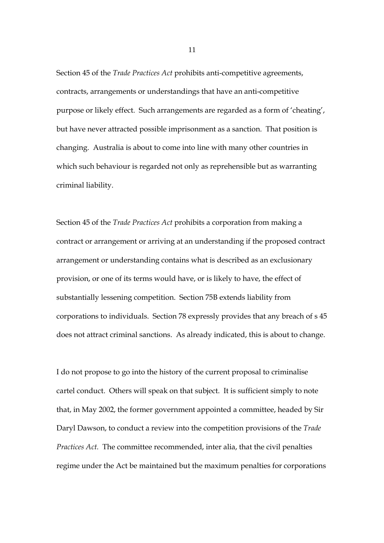Section 45 of the *Trade Practices Act* prohibits anti-competitive agreements, contracts, arrangements or understandings that have an anti-competitive purpose or likely effect. Such arrangements are regarded as a form of 'cheating', but have never attracted possible imprisonment as a sanction. That position is changing. Australia is about to come into line with many other countries in which such behaviour is regarded not only as reprehensible but as warranting criminal liability.

Section 45 of the *Trade Practices Act* prohibits a corporation from making a contract or arrangement or arriving at an understanding if the proposed contract arrangement or understanding contains what is described as an exclusionary provision, or one of its terms would have, or is likely to have, the effect of substantially lessening competition. Section 75B extends liability from corporations to individuals. Section 78 expressly provides that any breach of s 45 does not attract criminal sanctions. As already indicated, this is about to change.

I do not propose to go into the history of the current proposal to criminalise cartel conduct. Others will speak on that subject. It is sufficient simply to note that, in May 2002, the former government appointed a committee, headed by Sir Daryl Dawson, to conduct a review into the competition provisions of the *Trade Practices Act.* The committee recommended, inter alia, that the civil penalties regime under the Act be maintained but the maximum penalties for corporations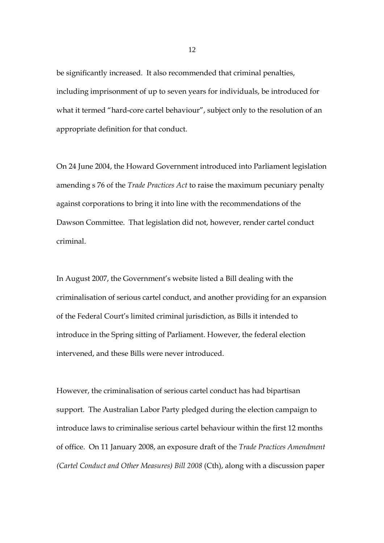be significantly increased. It also recommended that criminal penalties, including imprisonment of up to seven years for individuals, be introduced for what it termed "hard-core cartel behaviour", subject only to the resolution of an appropriate definition for that conduct.

On 24 June 2004, the Howard Government introduced into Parliament legislation amending s 76 of the *Trade Practices Act* to raise the maximum pecuniary penalty against corporations to bring it into line with the recommendations of the Dawson Committee. That legislation did not, however, render cartel conduct criminal.

In August 2007, the Government's website listed a Bill dealing with the criminalisation of serious cartel conduct, and another providing for an expansion of the Federal Court's limited criminal jurisdiction, as Bills it intended to introduce in the Spring sitting of Parliament. However, the federal election intervened, and these Bills were never introduced.

However, the criminalisation of serious cartel conduct has had bipartisan support. The Australian Labor Party pledged during the election campaign to introduce laws to criminalise serious cartel behaviour within the first 12 months of office. On 11 January 2008, an exposure draft of the *Trade Practices Amendment (Cartel Conduct and Other Measures) Bill 2008* (Cth), along with a discussion paper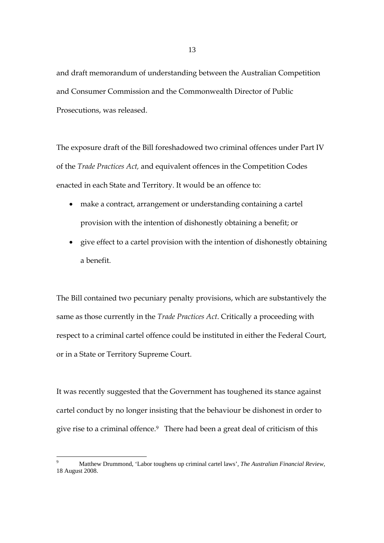and draft memorandum of understanding between the Australian Competition and Consumer Commission and the Commonwealth Director of Public Prosecutions, was released.

The exposure draft of the Bill foreshadowed two criminal offences under Part IV of the *Trade Practices Act,* and equivalent offences in the Competition Codes enacted in each State and Territory. It would be an offence to:

- make a contract, arrangement or understanding containing a cartel provision with the intention of dishonestly obtaining a benefit; or
- give effect to a cartel provision with the intention of dishonestly obtaining a benefit.

The Bill contained two pecuniary penalty provisions, which are substantively the same as those currently in the *Trade Practices Act*. Critically a proceeding with respect to a criminal cartel offence could be instituted in either the Federal Court, or in a State or Territory Supreme Court.

It was recently suggested that the Government has toughened its stance against cartel conduct by no longer insisting that the behaviour be dishonest in order to give rise to a criminal offence.9 There had been a great deal of criticism of this

<sup>9</sup> Matthew Drummond, 'Labor toughens up criminal cartel laws', *The Australian Financial Review,*  18 August 2008.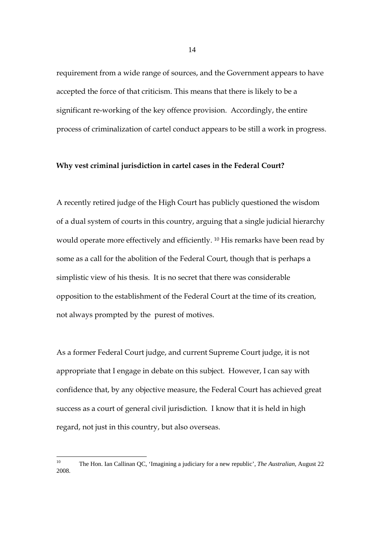requirement from a wide range of sources, and the Government appears to have accepted the force of that criticism. This means that there is likely to be a significant re-working of the key offence provision. Accordingly, the entire process of criminalization of cartel conduct appears to be still a work in progress.

# **Why vest criminal jurisdiction in cartel cases in the Federal Court?**

A recently retired judge of the High Court has publicly questioned the wisdom of a dual system of courts in this country, arguing that a single judicial hierarchy would operate more effectively and efficiently. 10 His remarks have been read by some as a call for the abolition of the Federal Court, though that is perhaps a simplistic view of his thesis. It is no secret that there was considerable opposition to the establishment of the Federal Court at the time of its creation, not always prompted by the purest of motives.

As a former Federal Court judge, and current Supreme Court judge, it is not appropriate that I engage in debate on this subject. However, I can say with confidence that, by any objective measure, the Federal Court has achieved great success as a court of general civil jurisdiction. I know that it is held in high regard, not just in this country, but also overseas.

 $10\,$ 10 The Hon. Ian Callinan QC, 'Imagining a judiciary for a new republic', *The Australian,* August 22 2008.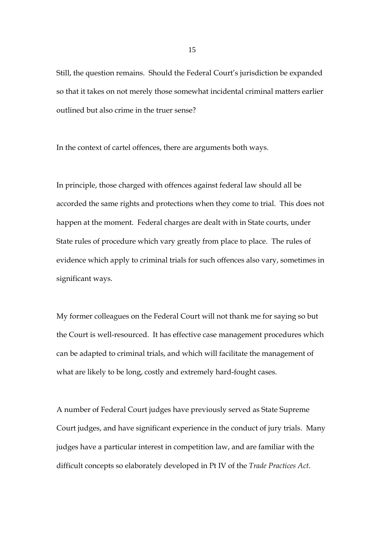Still, the question remains. Should the Federal Court's jurisdiction be expanded so that it takes on not merely those somewhat incidental criminal matters earlier outlined but also crime in the truer sense?

In the context of cartel offences, there are arguments both ways.

In principle, those charged with offences against federal law should all be accorded the same rights and protections when they come to trial. This does not happen at the moment. Federal charges are dealt with in State courts, under State rules of procedure which vary greatly from place to place. The rules of evidence which apply to criminal trials for such offences also vary, sometimes in significant ways.

My former colleagues on the Federal Court will not thank me for saying so but the Court is well-resourced. It has effective case management procedures which can be adapted to criminal trials, and which will facilitate the management of what are likely to be long, costly and extremely hard-fought cases.

A number of Federal Court judges have previously served as State Supreme Court judges, and have significant experience in the conduct of jury trials. Many judges have a particular interest in competition law, and are familiar with the difficult concepts so elaborately developed in Pt IV of the *Trade Practices Act*.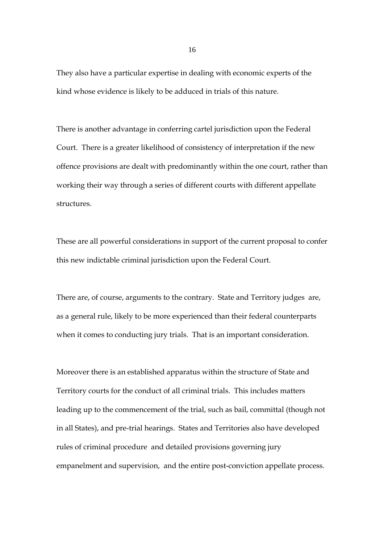They also have a particular expertise in dealing with economic experts of the kind whose evidence is likely to be adduced in trials of this nature.

There is another advantage in conferring cartel jurisdiction upon the Federal Court. There is a greater likelihood of consistency of interpretation if the new offence provisions are dealt with predominantly within the one court, rather than working their way through a series of different courts with different appellate structures.

These are all powerful considerations in support of the current proposal to confer this new indictable criminal jurisdiction upon the Federal Court.

There are, of course, arguments to the contrary. State and Territory judges are, as a general rule, likely to be more experienced than their federal counterparts when it comes to conducting jury trials. That is an important consideration.

Moreover there is an established apparatus within the structure of State and Territory courts for the conduct of all criminal trials. This includes matters leading up to the commencement of the trial, such as bail, committal (though not in all States), and pre-trial hearings. States and Territories also have developed rules of criminal procedure and detailed provisions governing jury empanelment and supervision, and the entire post-conviction appellate process.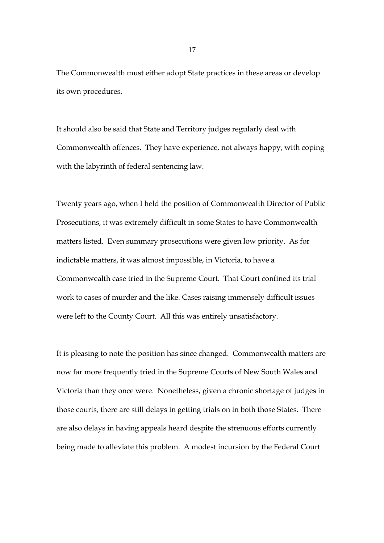The Commonwealth must either adopt State practices in these areas or develop its own procedures.

It should also be said that State and Territory judges regularly deal with Commonwealth offences. They have experience, not always happy, with coping with the labyrinth of federal sentencing law.

Twenty years ago, when I held the position of Commonwealth Director of Public Prosecutions, it was extremely difficult in some States to have Commonwealth matters listed. Even summary prosecutions were given low priority. As for indictable matters, it was almost impossible, in Victoria, to have a Commonwealth case tried in the Supreme Court. That Court confined its trial work to cases of murder and the like. Cases raising immensely difficult issues were left to the County Court. All this was entirely unsatisfactory.

It is pleasing to note the position has since changed. Commonwealth matters are now far more frequently tried in the Supreme Courts of New South Wales and Victoria than they once were. Nonetheless, given a chronic shortage of judges in those courts, there are still delays in getting trials on in both those States. There are also delays in having appeals heard despite the strenuous efforts currently being made to alleviate this problem. A modest incursion by the Federal Court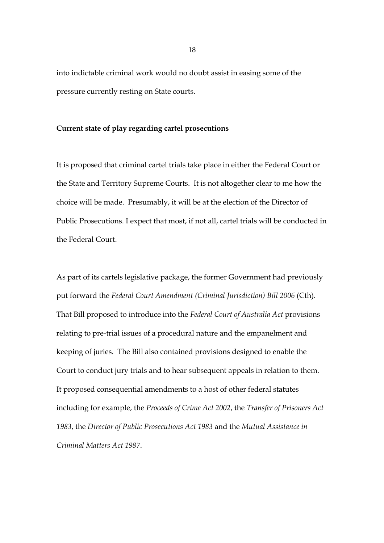into indictable criminal work would no doubt assist in easing some of the pressure currently resting on State courts.

# **Current state of play regarding cartel prosecutions**

It is proposed that criminal cartel trials take place in either the Federal Court or the State and Territory Supreme Courts. It is not altogether clear to me how the choice will be made. Presumably, it will be at the election of the Director of Public Prosecutions. I expect that most, if not all, cartel trials will be conducted in the Federal Court.

As part of its cartels legislative package, the former Government had previously put forward the *Federal Court Amendment (Criminal Jurisdiction) Bill 2006* (Cth). That Bill proposed to introduce into the *Federal Court of Australia Act* provisions relating to pre-trial issues of a procedural nature and the empanelment and keeping of juries. The Bill also contained provisions designed to enable the Court to conduct jury trials and to hear subsequent appeals in relation to them. It proposed consequential amendments to a host of other federal statutes including for example, the *Proceeds of Crime Act 2002*, the *Transfer of Prisoners Act 1983*, the *Director of Public Prosecutions Act 1983* and the *Mutual Assistance in Criminal Matters Act 1987*.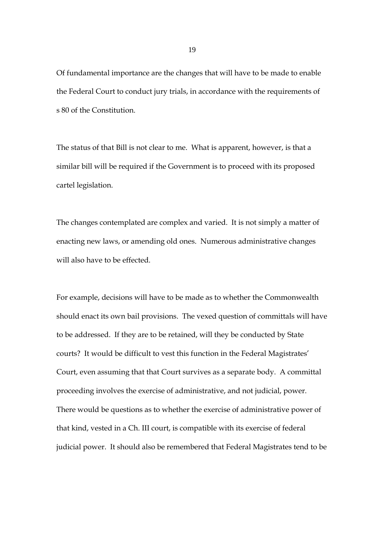Of fundamental importance are the changes that will have to be made to enable the Federal Court to conduct jury trials, in accordance with the requirements of s 80 of the Constitution.

The status of that Bill is not clear to me. What is apparent, however, is that a similar bill will be required if the Government is to proceed with its proposed cartel legislation.

The changes contemplated are complex and varied. It is not simply a matter of enacting new laws, or amending old ones. Numerous administrative changes will also have to be effected.

For example, decisions will have to be made as to whether the Commonwealth should enact its own bail provisions. The vexed question of committals will have to be addressed. If they are to be retained, will they be conducted by State courts? It would be difficult to vest this function in the Federal Magistrates' Court, even assuming that that Court survives as a separate body. A committal proceeding involves the exercise of administrative, and not judicial, power. There would be questions as to whether the exercise of administrative power of that kind, vested in a Ch. III court, is compatible with its exercise of federal judicial power. It should also be remembered that Federal Magistrates tend to be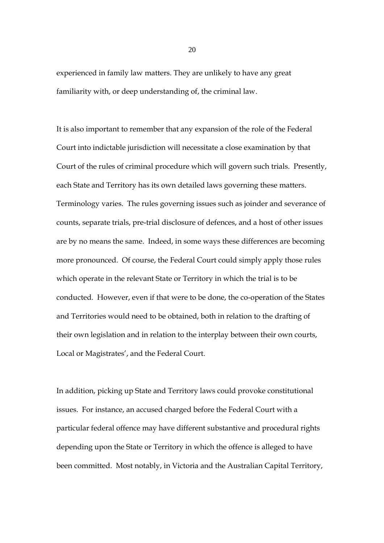experienced in family law matters. They are unlikely to have any great familiarity with, or deep understanding of, the criminal law.

It is also important to remember that any expansion of the role of the Federal Court into indictable jurisdiction will necessitate a close examination by that Court of the rules of criminal procedure which will govern such trials. Presently, each State and Territory has its own detailed laws governing these matters. Terminology varies. The rules governing issues such as joinder and severance of counts, separate trials, pre-trial disclosure of defences, and a host of other issues are by no means the same. Indeed, in some ways these differences are becoming more pronounced. Of course, the Federal Court could simply apply those rules which operate in the relevant State or Territory in which the trial is to be conducted. However, even if that were to be done, the co-operation of the States and Territories would need to be obtained, both in relation to the drafting of their own legislation and in relation to the interplay between their own courts, Local or Magistrates', and the Federal Court.

In addition, picking up State and Territory laws could provoke constitutional issues. For instance, an accused charged before the Federal Court with a particular federal offence may have different substantive and procedural rights depending upon the State or Territory in which the offence is alleged to have been committed. Most notably, in Victoria and the Australian Capital Territory,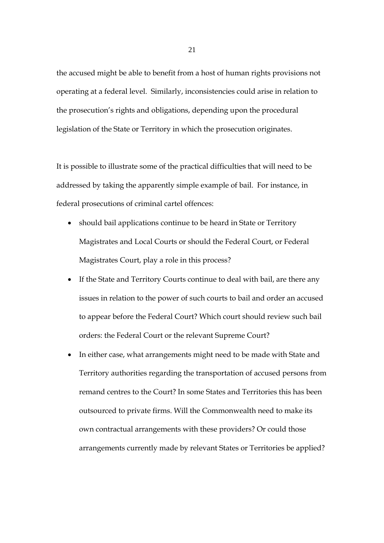the accused might be able to benefit from a host of human rights provisions not operating at a federal level. Similarly, inconsistencies could arise in relation to the prosecution's rights and obligations, depending upon the procedural legislation of the State or Territory in which the prosecution originates.

It is possible to illustrate some of the practical difficulties that will need to be addressed by taking the apparently simple example of bail. For instance, in federal prosecutions of criminal cartel offences:

- should bail applications continue to be heard in State or Territory Magistrates and Local Courts or should the Federal Court, or Federal Magistrates Court, play a role in this process?
- If the State and Territory Courts continue to deal with bail, are there any issues in relation to the power of such courts to bail and order an accused to appear before the Federal Court? Which court should review such bail orders: the Federal Court or the relevant Supreme Court?
- In either case, what arrangements might need to be made with State and Territory authorities regarding the transportation of accused persons from remand centres to the Court? In some States and Territories this has been outsourced to private firms. Will the Commonwealth need to make its own contractual arrangements with these providers? Or could those arrangements currently made by relevant States or Territories be applied?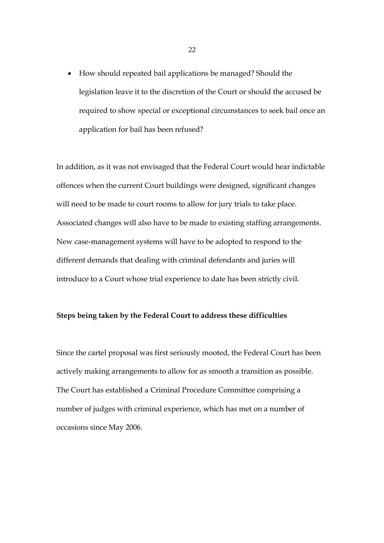• How should repeated bail applications be managed? Should the legislation leave it to the discretion of the Court or should the accused be required to show special or exceptional circumstances to seek bail once an application for bail has been refused?

In addition, as it was not envisaged that the Federal Court would hear indictable offences when the current Court buildings were designed, significant changes will need to be made to court rooms to allow for jury trials to take place. Associated changes will also have to be made to existing staffing arrangements. New case-management systems will have to be adopted to respond to the different demands that dealing with criminal defendants and juries will introduce to a Court whose trial experience to date has been strictly civil.

# **Steps being taken by the Federal Court to address these difficulties**

Since the cartel proposal was first seriously mooted, the Federal Court has been actively making arrangements to allow for as smooth a transition as possible. The Court has established a Criminal Procedure Committee comprising a number of judges with criminal experience, which has met on a number of occasions since May 2006.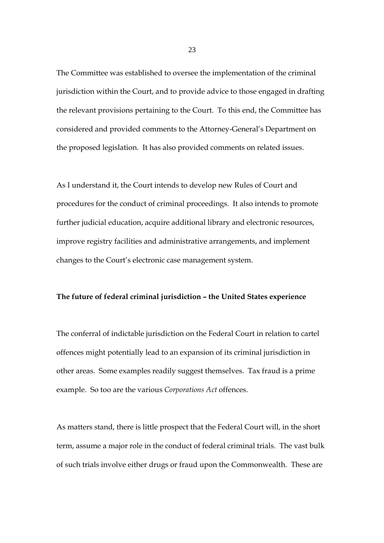The Committee was established to oversee the implementation of the criminal jurisdiction within the Court, and to provide advice to those engaged in drafting the relevant provisions pertaining to the Court. To this end, the Committee has considered and provided comments to the Attorney-General's Department on the proposed legislation. It has also provided comments on related issues.

As I understand it, the Court intends to develop new Rules of Court and procedures for the conduct of criminal proceedings. It also intends to promote further judicial education, acquire additional library and electronic resources, improve registry facilities and administrative arrangements, and implement changes to the Court's electronic case management system.

#### **The future of federal criminal jurisdiction – the United States experience**

The conferral of indictable jurisdiction on the Federal Court in relation to cartel offences might potentially lead to an expansion of its criminal jurisdiction in other areas. Some examples readily suggest themselves. Tax fraud is a prime example. So too are the various *Corporations Act* offences.

As matters stand, there is little prospect that the Federal Court will, in the short term, assume a major role in the conduct of federal criminal trials. The vast bulk of such trials involve either drugs or fraud upon the Commonwealth. These are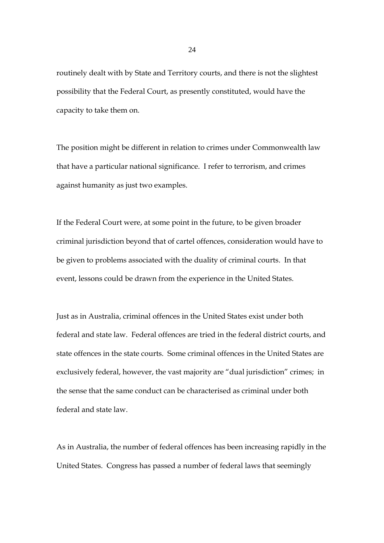routinely dealt with by State and Territory courts, and there is not the slightest possibility that the Federal Court, as presently constituted, would have the capacity to take them on.

The position might be different in relation to crimes under Commonwealth law that have a particular national significance. I refer to terrorism, and crimes against humanity as just two examples.

If the Federal Court were, at some point in the future, to be given broader criminal jurisdiction beyond that of cartel offences, consideration would have to be given to problems associated with the duality of criminal courts. In that event, lessons could be drawn from the experience in the United States.

Just as in Australia, criminal offences in the United States exist under both federal and state law. Federal offences are tried in the federal district courts, and state offences in the state courts. Some criminal offences in the United States are exclusively federal, however, the vast majority are "dual jurisdiction" crimes; in the sense that the same conduct can be characterised as criminal under both federal and state law.

As in Australia, the number of federal offences has been increasing rapidly in the United States. Congress has passed a number of federal laws that seemingly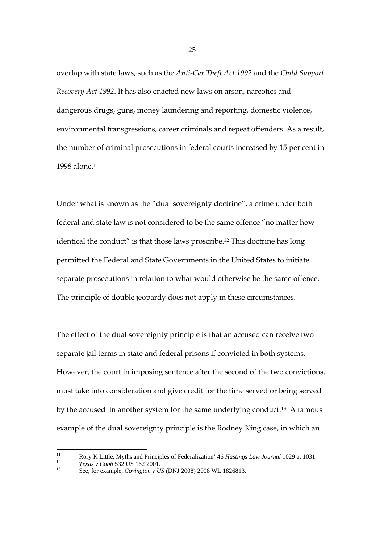overlap with state laws, such as the *Anti-Car Theft Act 1992* and the *Child Support Recovery Act 1992*. It has also enacted new laws on arson, narcotics and dangerous drugs, guns, money laundering and reporting, domestic violence, environmental transgressions, career criminals and repeat offenders. As a result, the number of criminal prosecutions in federal courts increased by 15 per cent in 1998 alone.11

Under what is known as the "dual sovereignty doctrine", a crime under both federal and state law is not considered to be the same offence "no matter how identical the conduct" is that those laws proscribe.<sup>12</sup> This doctrine has long permitted the Federal and State Governments in the United States to initiate separate prosecutions in relation to what would otherwise be the same offence. The principle of double jeopardy does not apply in these circumstances.

The effect of the dual sovereignty principle is that an accused can receive two separate jail terms in state and federal prisons if convicted in both systems. However, the court in imposing sentence after the second of the two convictions, must take into consideration and give credit for the time served or being served by the accused in another system for the same underlying conduct.13 A famous example of the dual sovereignty principle is the Rodney King case, in which an

 $11$ 11 Rory K Little, Myths and Principles of Federalization' 46 *Hastings Law Journal* 1029 at 1031<br><sup>12</sup> *Texas v Cobb* 532 US 162 2001.<br><sup>13</sup> See, for example, *Covington v US* (DNJ 2008) 2008 WL 1826813.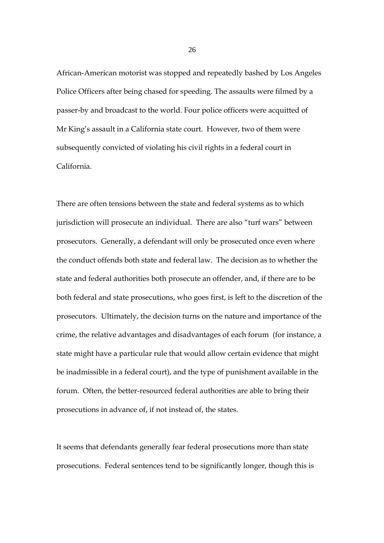African-American motorist was stopped and repeatedly bashed by Los Angeles Police Officers after being chased for speeding. The assaults were filmed by a passer-by and broadcast to the world. Four police officers were acquitted of Mr King's assault in a California state court. However, two of them were subsequently convicted of violating his civil rights in a federal court in California.

There are often tensions between the state and federal systems as to which jurisdiction will prosecute an individual. There are also "turf wars" between prosecutors. Generally, a defendant will only be prosecuted once even where the conduct offends both state and federal law. The decision as to whether the state and federal authorities both prosecute an offender, and, if there are to be both federal and state prosecutions, who goes first, is left to the discretion of the prosecutors. Ultimately, the decision turns on the nature and importance of the crime, the relative advantages and disadvantages of each forum (for instance, a state might have a particular rule that would allow certain evidence that might be inadmissible in a federal court), and the type of punishment available in the forum. Often, the better-resourced federal authorities are able to bring their prosecutions in advance of, if not instead of, the states.

It seems that defendants generally fear federal prosecutions more than state prosecutions. Federal sentences tend to be significantly longer, though this is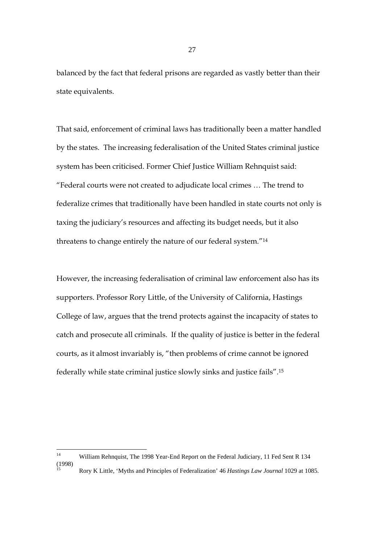balanced by the fact that federal prisons are regarded as vastly better than their state equivalents.

That said, enforcement of criminal laws has traditionally been a matter handled by the states. The increasing federalisation of the United States criminal justice system has been criticised. Former Chief Justice William Rehnquist said: "Federal courts were not created to adjudicate local crimes … The trend to federalize crimes that traditionally have been handled in state courts not only is taxing the judiciary's resources and affecting its budget needs, but it also threatens to change entirely the nature of our federal system."14

However, the increasing federalisation of criminal law enforcement also has its supporters. Professor Rory Little, of the University of California, Hastings College of law, argues that the trend protects against the incapacity of states to catch and prosecute all criminals. If the quality of justice is better in the federal courts, as it almost invariably is, "then problems of crime cannot be ignored federally while state criminal justice slowly sinks and justice fails".15

 $14$ 14 William Rehnquist, The 1998 Year-End Report on the Federal Judiciary, 11 Fed Sent R 134  $(1998)$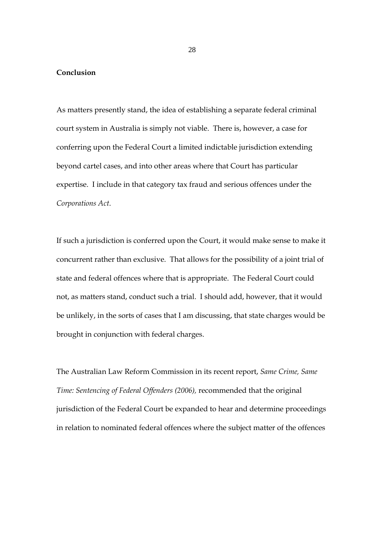## **Conclusion**

As matters presently stand, the idea of establishing a separate federal criminal court system in Australia is simply not viable. There is, however, a case for conferring upon the Federal Court a limited indictable jurisdiction extending beyond cartel cases, and into other areas where that Court has particular expertise. I include in that category tax fraud and serious offences under the *Corporations Act*.

If such a jurisdiction is conferred upon the Court, it would make sense to make it concurrent rather than exclusive. That allows for the possibility of a joint trial of state and federal offences where that is appropriate. The Federal Court could not, as matters stand, conduct such a trial. I should add, however, that it would be unlikely, in the sorts of cases that I am discussing, that state charges would be brought in conjunction with federal charges.

The Australian Law Reform Commission in its recent report, *Same Crime, Same Time: Sentencing of Federal Offenders (2006),* recommended that the original jurisdiction of the Federal Court be expanded to hear and determine proceedings in relation to nominated federal offences where the subject matter of the offences